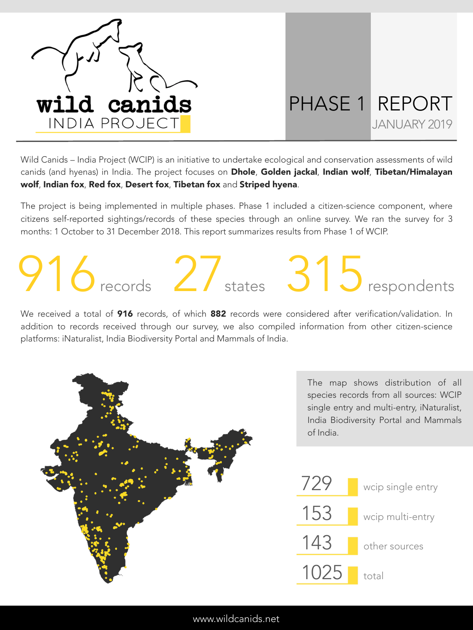

## PHASE 1 REPORT JANUARY 2019

Wild Canids – India Project (WCIP) is an initiative to undertake ecological and conservation assessments of wild canids (and hyenas) in India. The project focuses on Dhole, Golden jackal, Indian wolf, Tibetan/Himalayan wolf, Indian fox, Red fox, Desert fox, Tibetan fox and Striped hyena.

The project is being implemented in multiple phases. Phase 1 included a citizen-science component, where citizens self-reported sightings/records of these species through an online survey. We ran the survey for 3 months: 1 October to 31 December 2018. This report summarizes results from Phase 1 of WCIP.

## 916records 27states 315respondents

We received a total of 916 records, of which 882 records were considered after verification/validation. In addition to records received through our survey, we also compiled information from other citizen-science platforms: iNaturalist, India Biodiversity Portal and Mammals of India.